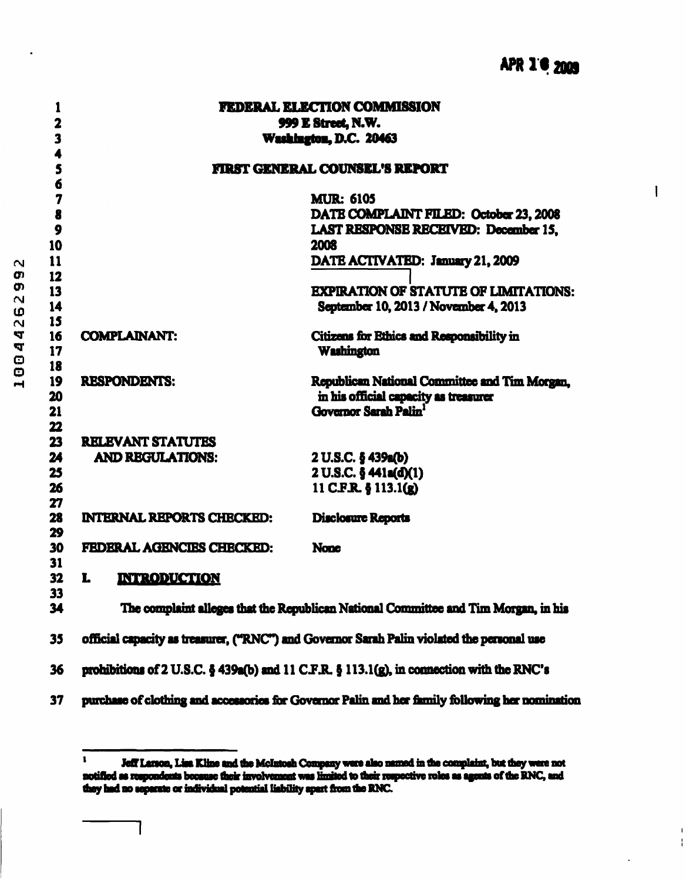$\mathbf{I}$ 

Ŧ

| 1                            |                                  | <b>FEDERAL ELECTION COMMISSION</b>                                                                                |
|------------------------------|----------------------------------|-------------------------------------------------------------------------------------------------------------------|
| $\overline{\mathbf{2}}$<br>3 |                                  | 999 E Street, N.W.<br>Washington, D.C. 20463                                                                      |
|                              |                                  |                                                                                                                   |
| 5                            |                                  | <b>FIRST GENERAL COUNSEL'S REPORT</b>                                                                             |
| 6                            |                                  | <b>MUR: 6105</b>                                                                                                  |
| 7<br>8                       |                                  | DATE COMPLAINT FILED: October 23, 2008                                                                            |
| 9                            |                                  | LAST RESPONSE RECEIVED: December 15.                                                                              |
| 10                           |                                  | 2008                                                                                                              |
| 11                           |                                  | DATE ACTIVATED: January 21, 2009                                                                                  |
| 12                           |                                  |                                                                                                                   |
| 13                           |                                  | <b>EXPIRATION OF STATUTE OF LIMITATIONS:</b>                                                                      |
| 14                           |                                  | September 10, 2013 / November 4, 2013                                                                             |
| 15                           |                                  |                                                                                                                   |
| 16                           | <b>COMPLAINANT:</b>              | Citizens for Ethics and Responsibility in                                                                         |
| 17                           |                                  | <b>Washington</b>                                                                                                 |
| 18                           |                                  |                                                                                                                   |
| 19                           | <b>RESPONDENTS:</b>              | Republican National Committee and Tim Morgan,                                                                     |
| 20                           |                                  | in his official capacity as treasurer                                                                             |
| 21                           |                                  | Governor Sarah Palin <sup>1</sup>                                                                                 |
| 22<br>23                     | <b>RELEVANT STATUTES</b>         |                                                                                                                   |
| 24                           | <b>AND REGULATIONS:</b>          | 2 U.S.C. § 439a(b)                                                                                                |
| 25                           |                                  | 2 U.S.C. § 441a(d)(1)                                                                                             |
| 26                           |                                  | 11 C.F.R. § 113.1(g)                                                                                              |
| 27                           |                                  |                                                                                                                   |
| 28                           | <b>INTERNAL REPORTS CHECKED:</b> | <b>Disclosure Reports</b>                                                                                         |
| 29                           |                                  |                                                                                                                   |
| 30                           | FEDERAL AGENCIES CHECKED:        | <b>None</b>                                                                                                       |
| 31                           |                                  |                                                                                                                   |
| 32                           | L<br>INTERODUCTION               |                                                                                                                   |
| 33                           |                                  |                                                                                                                   |
| 34                           |                                  | The complaint alleges that the Republican National Committee and Tim Morgan, in his                               |
| 35                           |                                  | official capacity as treasurer, ("RNC") and Governor Sarah Palin violated the personal use                        |
| 36                           |                                  | prohibitions of 2 U.S.C. $\frac{1}{2}$ 439a(b) and 11 C.F.R. $\frac{1}{2}$ 113.1(g), in connection with the RNC's |
| 37                           |                                  | purchase of clothing and accessories for Governor Palin and her family following her nomination                   |

<sup>&</sup>lt;sup>1</sup> Jeff Larson, Lisa Kline and the McIntosh Company were also named in the complaint, but they were not notified as respondents because their involvement was limited to their respective roles as agents of the RNC, and  $\mathbf{I}$ they had no separate or individual potential liability apart from the RNC.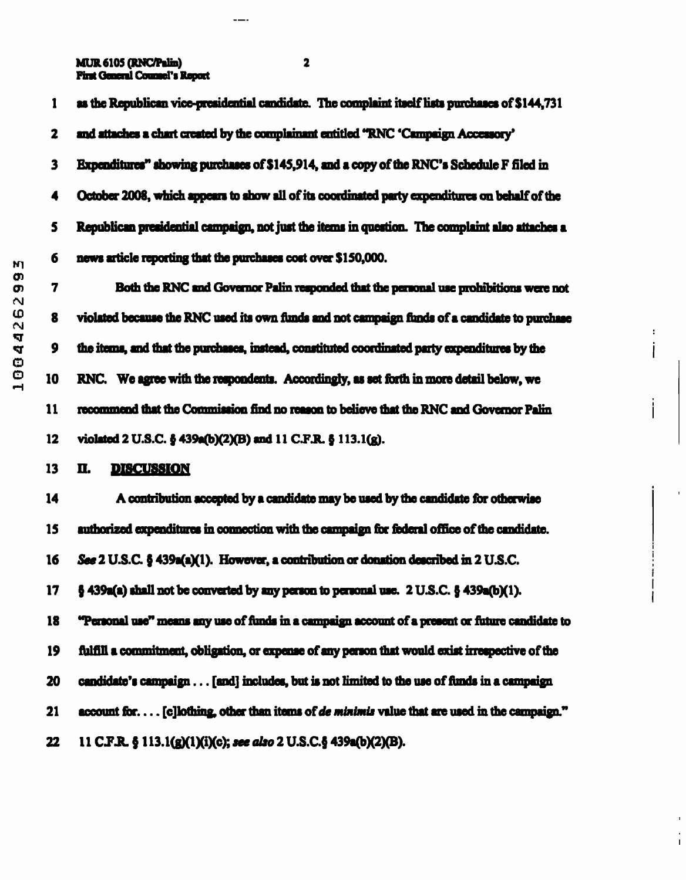MUR6105(RNC/Pilin) 2 **Pirst General Counsel's Report** 

 $---$ 

| M۱<br>Q)<br>O)<br>N<br>Φ<br>N<br>4<br>4<br>Ф<br>o<br>ᆏ | 1            | as the Republican vice-presidential candidate. The complaint itself lists purchases of \$144,731 |
|--------------------------------------------------------|--------------|--------------------------------------------------------------------------------------------------|
|                                                        | $\mathbf{2}$ | and attaches a chart created by the complainant entitled "RNC 'Campaign Accessory'               |
|                                                        | $\mathbf{3}$ | Expenditures" showing purchases of \$145,914, and a copy of the RNC's Schedule F filed in        |
|                                                        | 4            | October 2008, which appears to show all of its coordinated party expenditures on behalf of the   |
|                                                        | 5            | Republican presidential campaign, not just the items in question. The complaint also attaches a  |
|                                                        | 6            | news article reporting that the purchases cost over \$150,000.                                   |
|                                                        | 7            | Both the RNC and Governor Palin responded that the personal use prohibitions were not            |
|                                                        | 8            | violated because the RNC used its own funds and not campaign funds of a candidate to purchase    |
|                                                        | 9            | the items, and that the purchases, instead, constituted coordinated party expenditures by the    |
|                                                        | 10           | RNC. We agree with the respondents. Accordingly, as set forth in more detail below, we           |
|                                                        | 11           | recommend that the Commission find no reason to believe that the RNC and Governor Palin          |
|                                                        | 12           | violated 2 U.S.C. § 439a(b)(2)(B) and 11 C.F.R. § 113.1(g).                                      |
|                                                        | 13           | <b>DISCUSSION</b><br>Ц.                                                                          |
|                                                        | 14           | A contribution accepted by a candidate may be used by the candidate for otherwise                |
|                                                        | 15           | authorized expenditures in connection with the campaign for federal office of the candidate.     |
|                                                        | 16           | See 2 U.S.C. § 439a(a)(1). However, a contribution or donation described in 2 U.S.C.             |
|                                                        | 17           | $\S$ 439a(a) shall not be converted by any person to personal use. 2 U.S.C. $\S$ 439a(b)(1).     |
|                                                        | 18           | "Personal use" means any use of funds in a campaign account of a present or future candidate to  |
|                                                        | 19           | fulfill a commitment, obligation, or expense of any person that would exist irrespective of the  |
|                                                        | 20           | candidate's campaign [and] includes, but is not limited to the use of funds in a campaign        |
|                                                        | 21           | account for [c]lothing, other than items of de minimis value that are used in the campaign."     |
|                                                        | 22           | 11 C.F.R. § 113.1(g)(1)(i)(c); see also 2 U.S.C.§ 439a(b)(2)(B).                                 |
|                                                        |              |                                                                                                  |

 $\boldsymbol{z}$  $\mathbf{i}$ 

İ

 $\frac{1}{1}$ 

 $\overline{1}$ 

 $\overline{\phantom{a}}$  $\frac{1}{1}$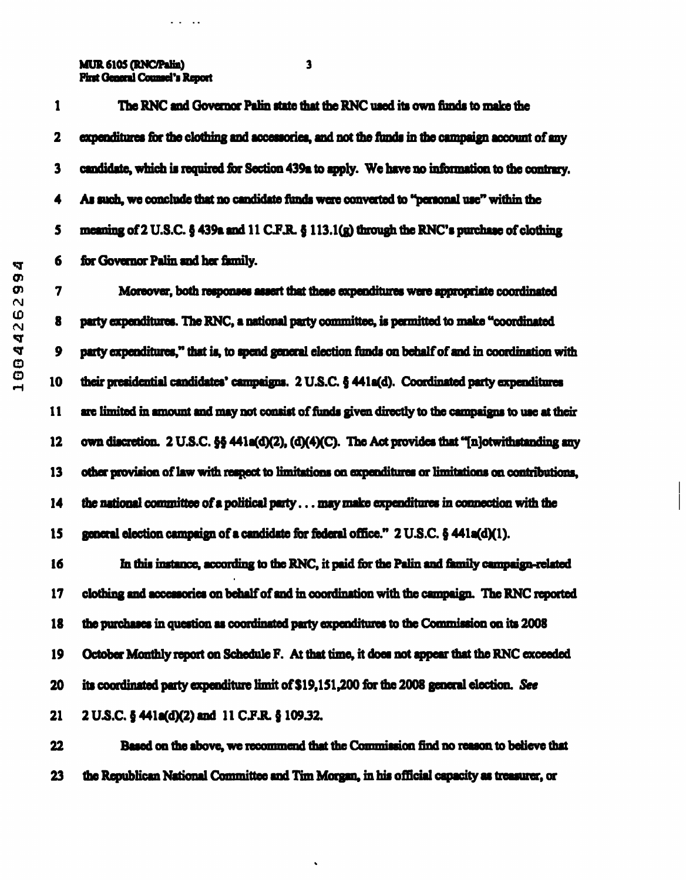MUR6105 (RNC/Palin) 3 Pint General Counsel's Report

 $\omega$  ,  $\omega$  ,  $\omega$  ,  $\omega$ 

2 expenditures for the clothing and accessories, and not the funds in the campaign account of any

1 The RNC md Governor Palm state that the RNC used its own funds to make the

3 candidate, which is required for Section 439a to apply. We have no information to the contrary. 4 As men, we conclude that no candidate funds were converted to "personal use" within the 5 meaning of  $2$  U.S.C. § 439a and  $11$  C.F.R. §  $113.1$ (g) through  $\mathbf{r}_{3}$  6 for Governor Palin and her family.

0\* 7 Moreover, both responses assert that these expenditures were appropriate coordinated  $\frac{10}{10}$  8 party expenditures. The RNC, a national party committee, is permitted to make "coordinated 9 party expenditures," that is, to spend general election funds on behalf of and in coordination with 10 their presidential candidates' campaigns. 2 U.S.C. § 441a(d). Coordinated party expenditures 11 are limited in amount and may not consist of funds given directly to the campaigns to use at their 12 own discretion. 2 U.S.C.  $\frac{55}{9}$  441a(d)(2), (d)(4)(C). The Act provides that "[n]otwithstanding any 13 other provision of law with respect to limitations on expenditures or limitations on contributions. 14 the national committee of a political party... may make expenditures in connection with the 15 general election campaign of a candidate for federal office." 2 U.S.C. § 441a(dXl).

16 In this instance, according to the RNC, it paid for the Palin and family campaign-related 17 clothing and accessories on behalf of and in coordination with the campaign. The RNC reported 18 the purchases in question as coordinated party expenditures to the Commission on its 2008 19 October Monthly report on Schedule F. At that time, it does not appear that the RNC exceeded 20 its coordinated party expenditure limit of \$19,151,200 for the 2008 general election. See 21 2 U.S.C. § 441a(d)(2) and 11 C.F.R. § 109.32.

22 Based on the above, we recommend that the Commission find no reason to believe that 23 the Republican National Committee and Tim Morgan, in his official capacity as treasurer, or